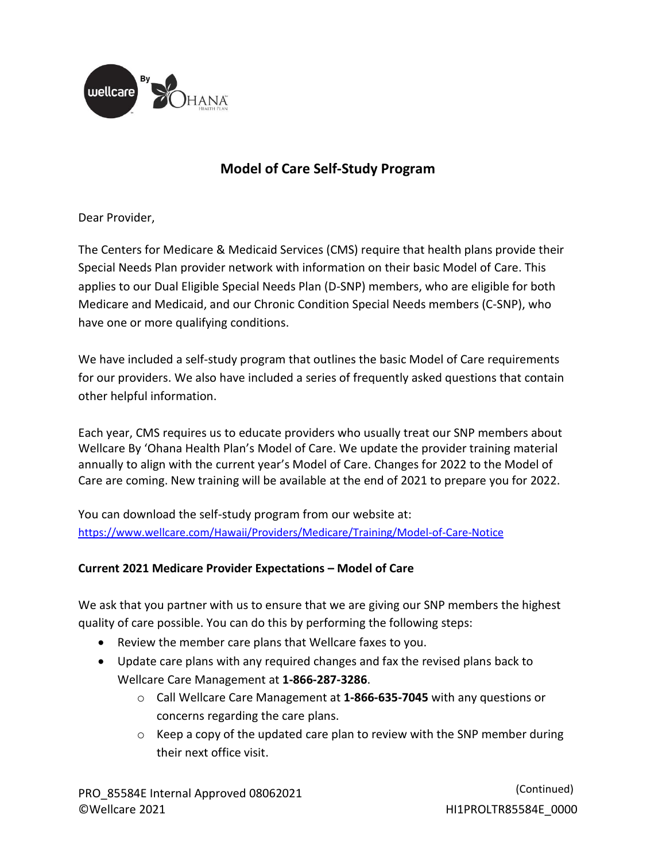

## **Model of Care Self-Study Program**

Dear Provider,

The Centers for Medicare & Medicaid Services (CMS) require that health plans provide their Special Needs Plan provider network with information on their basic Model of Care. This applies to our Dual Eligible Special Needs Plan (D-SNP) members, who are eligible for both Medicare and Medicaid, and our Chronic Condition Special Needs members (C-SNP), who have one or more qualifying conditions.

We have included a self-study program that outlines the basic Model of Care requirements for our providers. We also have included a series of frequently asked questions that contain other helpful information.

Each year, CMS requires us to educate providers who usually treat our SNP members about Wellcare By 'Ohana Health Plan's Model of Care. We update the provider training material annually to align with the current year's Model of Care. Changes for 2022 to the Model of Care are coming. New training will be available at the end of 2021 to prepare you for 2022.

You can download the self-study program from our website at: <https://www.wellcare.com/Hawaii/Providers/Medicare/Training/Model-of-Care-Notice>

## **Current 2021 Medicare Provider Expectations – Model of Care**

We ask that you partner with us to ensure that we are giving our SNP members the highest quality of care possible. You can do this by performing the following steps:

- Review the member care plans that Wellcare faxes to you.
- Update care plans with any required changes and fax the revised plans back to Wellcare Care Management at **1-866-287-3286**.
	- o Call Wellcare Care Management at **1-866-635-7045** with any questions or concerns regarding the care plans.
	- o Keep a copy of the updated care plan to review with the SNP member during their next office visit.